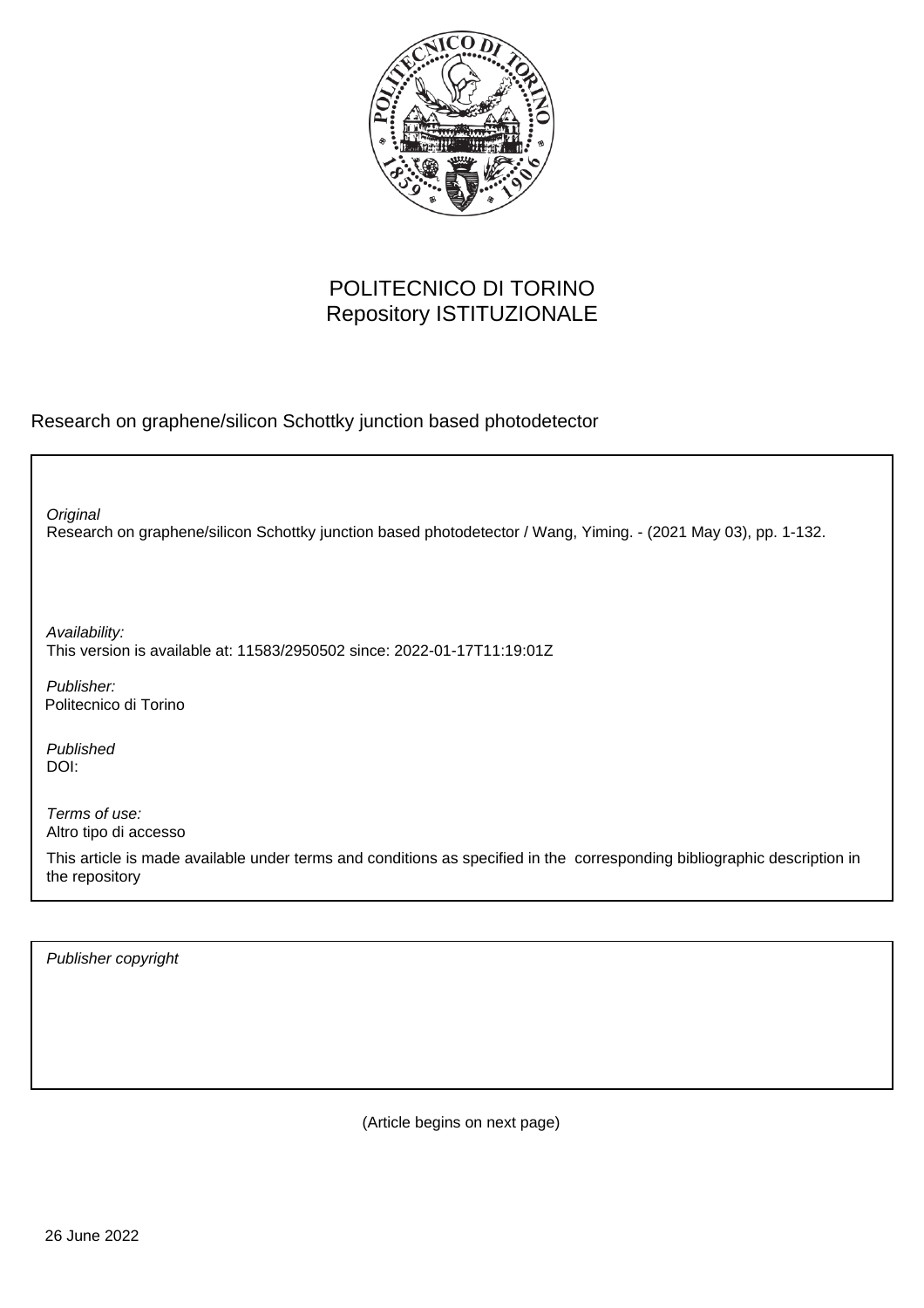

## POLITECNICO DI TORINO Repository ISTITUZIONALE

Research on graphene/silicon Schottky junction based photodetector

Research on graphene/silicon Schottky junction based photodetector / Wang, Yiming. - (2021 May 03), pp. 1-132. **Original** Publisher: Published DOI: Availability: This version is available at: 11583/2950502 since: 2022-01-17T11:19:01Z Politecnico di Torino

Terms of use: Altro tipo di accesso

This article is made available under terms and conditions as specified in the corresponding bibliographic description in the repository

Publisher copyright

(Article begins on next page)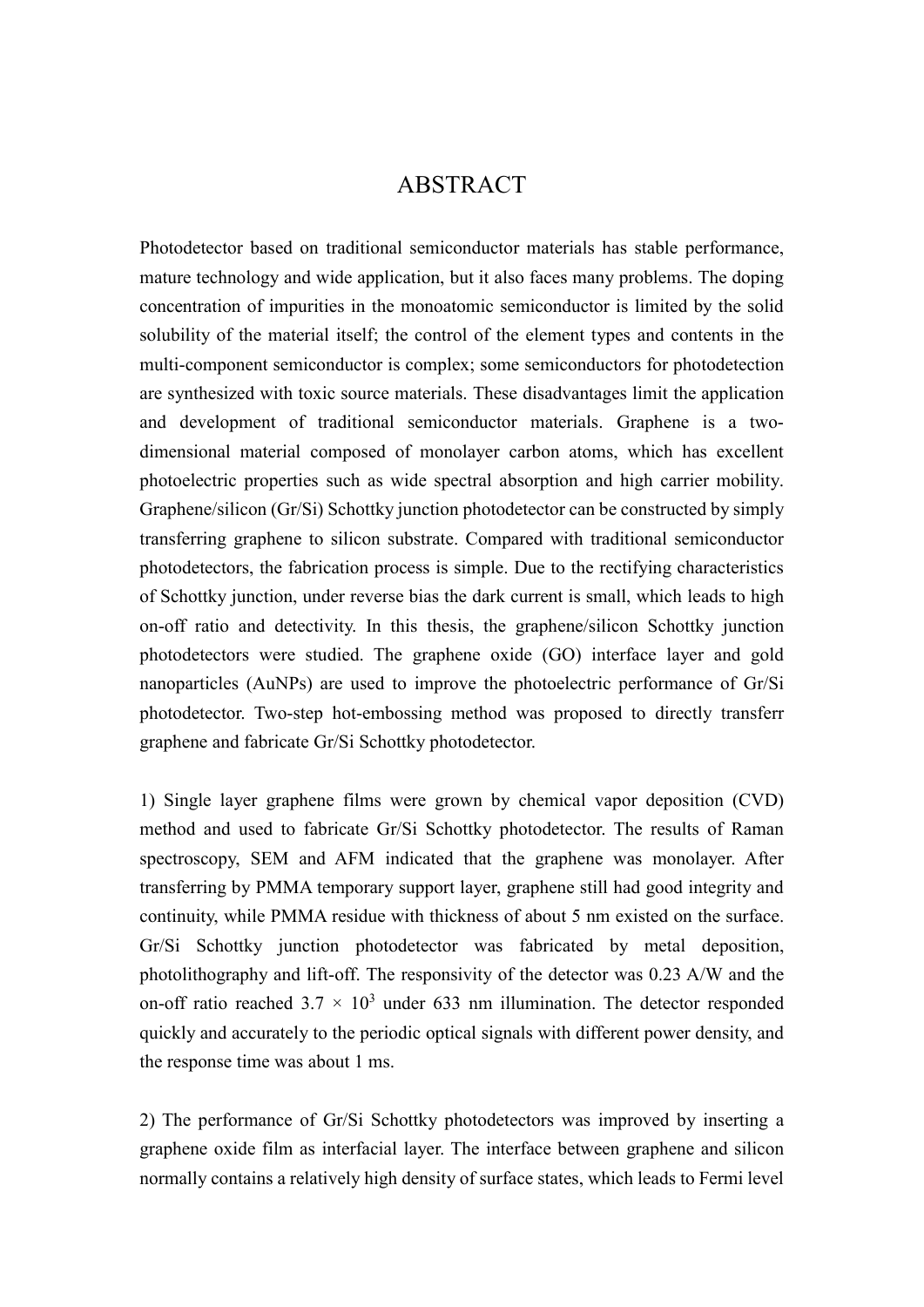## ABSTRACT

Photodetector based on traditional semiconductor materials has stable performance, mature technology and wide application, but it also faces many problems. The doping concentration of impurities in the monoatomic semiconductor is limited by the solid solubility of the material itself; the control of the element types and contents in the multi-component semiconductor is complex; some semiconductors for photodetection are synthesized with toxic source materials. These disadvantages limit the application and development of traditional semiconductor materials. Graphene is a twodimensional material composed of monolayer carbon atoms, which has excellent photoelectric properties such as wide spectral absorption and high carrier mobility. Graphene/silicon (Gr/Si) Schottky junction photodetector can be constructed by simply transferring graphene to silicon substrate. Compared with traditional semiconductor photodetectors, the fabrication process is simple. Due to the rectifying characteristics of Schottky junction, under reverse bias the dark current is small, which leads to high on-off ratio and detectivity. In this thesis, the graphene/silicon Schottky junction photodetectors were studied. The graphene oxide (GO) interface layer and gold nanoparticles (AuNPs) are used to improve the photoelectric performance of Gr/Si photodetector. Two-step hot-embossing method was proposed to directly transferr graphene and fabricate Gr/Si Schottky photodetector.

1) Single layer graphene films were grown by chemical vapor deposition (CVD) method and used to fabricate Gr/Si Schottky photodetector. The results of Raman spectroscopy, SEM and AFM indicated that the graphene was monolayer. After transferring by PMMA temporary support layer, graphene still had good integrity and continuity, while PMMA residue with thickness of about 5 nm existed on the surface. Gr/Si Schottky junction photodetector was fabricated by metal deposition, photolithography and lift-off. The responsivity of the detector was 0.23 A/W and the on-off ratio reached  $3.7 \times 10^3$  under 633 nm illumination. The detector responded quickly and accurately to the periodic optical signals with different power density, and the response time was about 1 ms.

2) The performance of Gr/Si Schottky photodetectors was improved by inserting a graphene oxide film as interfacial layer. The interface between graphene and silicon normally contains a relatively high density of surface states, which leads to Fermi level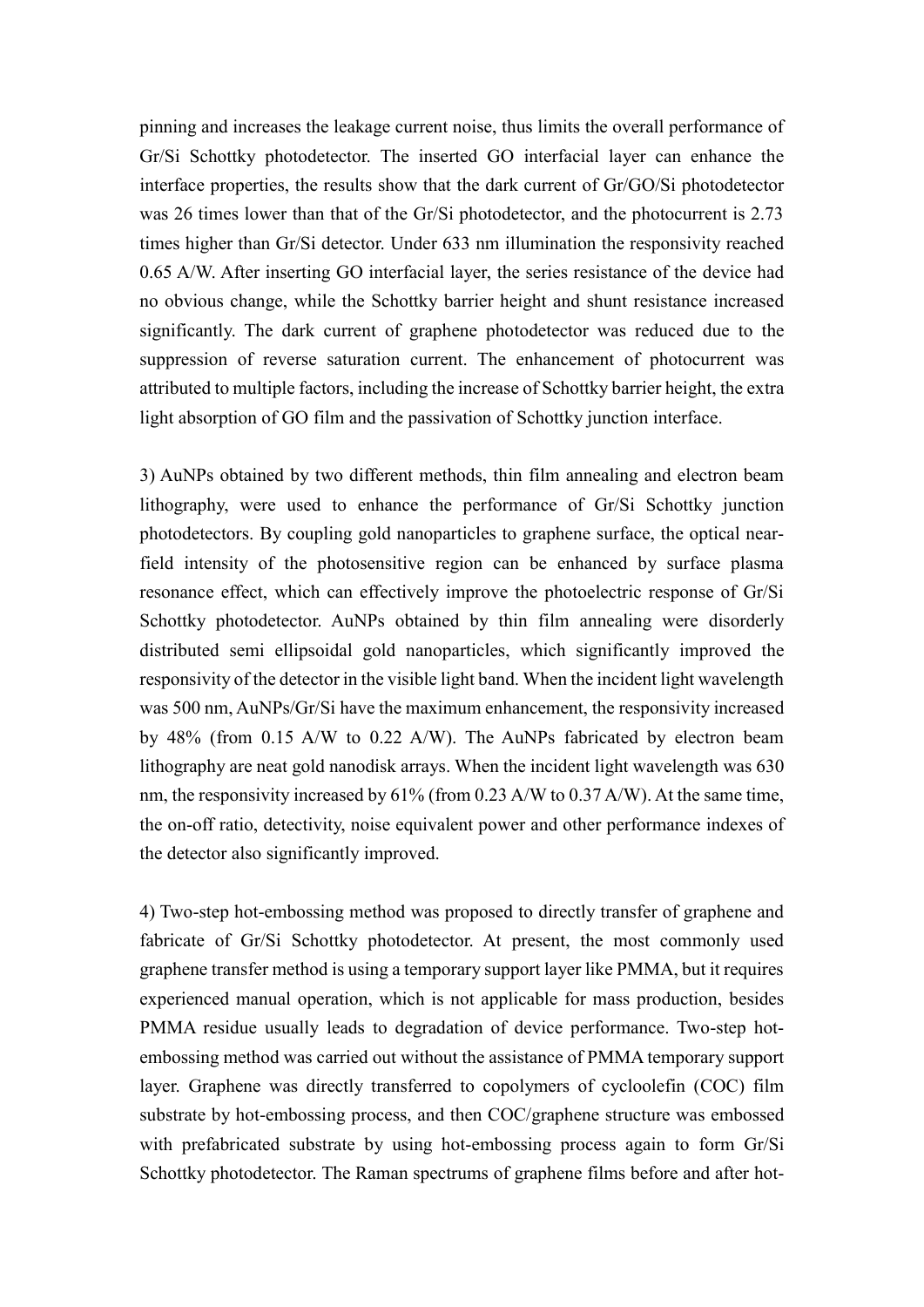pinning and increases the leakage current noise, thus limits the overall performance of Gr/Si Schottky photodetector. The inserted GO interfacial layer can enhance the interface properties, the results show that the dark current of Gr/GO/Si photodetector was 26 times lower than that of the Gr/Si photodetector, and the photocurrent is 2.73 times higher than Gr/Si detector. Under 633 nm illumination the responsivity reached 0.65 A/W. After inserting GO interfacial layer, the series resistance of the device had no obvious change, while the Schottky barrier height and shunt resistance increased significantly. The dark current of graphene photodetector was reduced due to the suppression of reverse saturation current. The enhancement of photocurrent was attributed to multiple factors, including the increase of Schottky barrier height, the extra light absorption of GO film and the passivation of Schottky junction interface.

3) AuNPs obtained by two different methods, thin film annealing and electron beam lithography, were used to enhance the performance of Gr/Si Schottky junction photodetectors. By coupling gold nanoparticles to graphene surface, the optical nearfield intensity of the photosensitive region can be enhanced by surface plasma resonance effect, which can effectively improve the photoelectric response of Gr/Si Schottky photodetector. AuNPs obtained by thin film annealing were disorderly distributed semi ellipsoidal gold nanoparticles, which significantly improved the responsivity of the detector in the visible light band. When the incident light wavelength was 500 nm, AuNPs/Gr/Si have the maximum enhancement, the responsivity increased by 48% (from 0.15 A/W to 0.22 A/W). The AuNPs fabricated by electron beam lithography are neat gold nanodisk arrays. When the incident light wavelength was 630 nm, the responsivity increased by 61% (from 0.23 A/W to 0.37 A/W). At the same time, the on-off ratio, detectivity, noise equivalent power and other performance indexes of the detector also significantly improved.

4) Two-step hot-embossing method was proposed to directly transfer of graphene and fabricate of Gr/Si Schottky photodetector. At present, the most commonly used graphene transfer method is using a temporary support layer like PMMA, but it requires experienced manual operation, which is not applicable for mass production, besides PMMA residue usually leads to degradation of device performance. Two-step hotembossing method was carried out without the assistance of PMMA temporary support layer. Graphene was directly transferred to copolymers of cycloolefin (COC) film substrate by hot-embossing process, and then COC/graphene structure was embossed with prefabricated substrate by using hot-embossing process again to form Gr/Si Schottky photodetector. The Raman spectrums of graphene films before and after hot